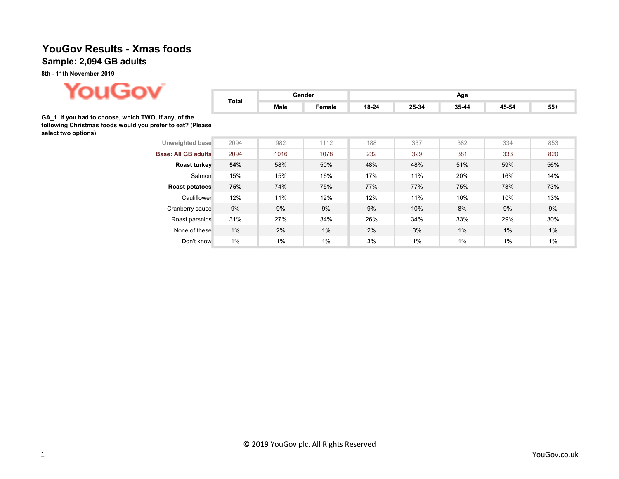## YouGov Results - Xmas foods Sample: 2,094 GB adults

8th - 11th November 2019



| .                                                                                                                                          | Total | Gender |        | Age   |       |       |       |       |  |  |
|--------------------------------------------------------------------------------------------------------------------------------------------|-------|--------|--------|-------|-------|-------|-------|-------|--|--|
|                                                                                                                                            |       | Male   | Female | 18-24 | 25-34 | 35-44 | 45-54 | $55+$ |  |  |
| GA 1. If you had to choose, which TWO, if any, of the<br>following Christmas foods would you prefer to eat? (Please<br>select two options) |       |        |        |       |       |       |       |       |  |  |
| Unweighted base                                                                                                                            | 2094  | 982    | 1112   | 188   | 337   | 382   | 334   | 853   |  |  |
| <b>Base: All GB adults</b>                                                                                                                 | 2094  | 1016   | 1078   | 232   | 329   | 381   | 333   | 820   |  |  |
| Roast turkey                                                                                                                               | 54%   | 58%    | 50%    | 48%   | 48%   | 51%   | 59%   | 56%   |  |  |
| Salmon                                                                                                                                     | 15%   | 15%    | 16%    | 17%   | 11%   | 20%   | 16%   | 14%   |  |  |
| Roast potatoes                                                                                                                             | 75%   | 74%    | 75%    | 77%   | 77%   | 75%   | 73%   | 73%   |  |  |
| Cauliflower                                                                                                                                | 12%   | 11%    | 12%    | 12%   | 11%   | 10%   | 10%   | 13%   |  |  |
| Cranberry sauce                                                                                                                            | 9%    | 9%     | 9%     | 9%    | 10%   | 8%    | 9%    | 9%    |  |  |
| Roast parsnips                                                                                                                             | 31%   | 27%    | 34%    | 26%   | 34%   | 33%   | 29%   | 30%   |  |  |
| None of these                                                                                                                              | $1\%$ | 2%     | 1%     | 2%    | 3%    | $1\%$ | 1%    | 1%    |  |  |
| Don't know                                                                                                                                 | $1\%$ | 1%     | 1%     | 3%    | 1%    | 1%    | 1%    | 1%    |  |  |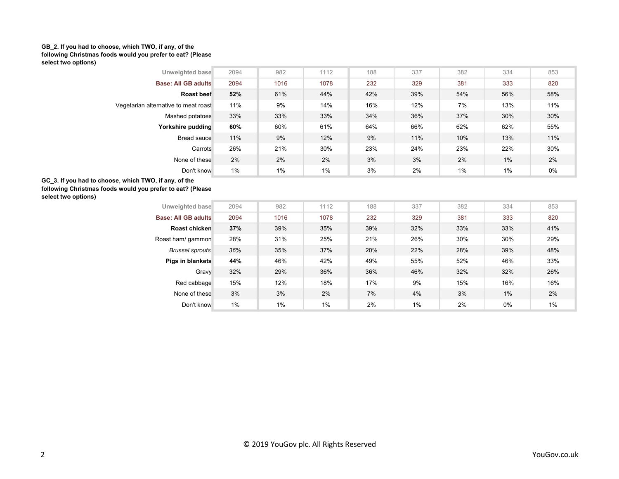## GB\_2. If you had to choose, which TWO, if any, of the following Christmas foods would you prefer to eat? (Please select two options)

| Unweighted base                                                                                                                            | 2094 | 982  | 1112 | 188 | 337 | 382 | 334   | 853 |  |  |  |
|--------------------------------------------------------------------------------------------------------------------------------------------|------|------|------|-----|-----|-----|-------|-----|--|--|--|
| <b>Base: All GB adults</b>                                                                                                                 | 2094 | 1016 | 1078 | 232 | 329 | 381 | 333   | 820 |  |  |  |
| Roast beef                                                                                                                                 | 52%  | 61%  | 44%  | 42% | 39% | 54% | 56%   | 58% |  |  |  |
| Vegetarian alternative to meat roast                                                                                                       | 11%  | 9%   | 14%  | 16% | 12% | 7%  | 13%   | 11% |  |  |  |
| Mashed potatoes                                                                                                                            | 33%  | 33%  | 33%  | 34% | 36% | 37% | 30%   | 30% |  |  |  |
| Yorkshire pudding                                                                                                                          | 60%  | 60%  | 61%  | 64% | 66% | 62% | 62%   | 55% |  |  |  |
| Bread sauce                                                                                                                                | 11%  | 9%   | 12%  | 9%  | 11% | 10% | 13%   | 11% |  |  |  |
| Carrots                                                                                                                                    | 26%  | 21%  | 30%  | 23% | 24% | 23% | 22%   | 30% |  |  |  |
| None of these                                                                                                                              | 2%   | 2%   | 2%   | 3%  | 3%  | 2%  | $1\%$ | 2%  |  |  |  |
| Don't know                                                                                                                                 | 1%   | 1%   | 1%   | 3%  | 2%  | 1%  | 1%    | 0%  |  |  |  |
| GC 3. If you had to choose, which TWO, if any, of the<br>following Christmas foods would you prefer to eat? (Please<br>select two options) |      |      |      |     |     |     |       |     |  |  |  |
| Unweighted base                                                                                                                            | 2094 | 982  | 1112 | 188 | 337 | 382 | 334   | 853 |  |  |  |
| <b>Base: All GB adults</b>                                                                                                                 | 2094 | 1016 | 1078 | 232 | 329 | 381 | 333   | 820 |  |  |  |
| Roast chicken                                                                                                                              | 37%  | 39%  | 35%  | 39% | 32% | 33% | 33%   | 41% |  |  |  |
| Roast ham/ gammon                                                                                                                          | 28%  | 31%  | 25%  | 21% | 26% | 30% | 30%   | 29% |  |  |  |
| <b>Brussel sprouts</b>                                                                                                                     | 36%  | 35%  | 37%  | 20% | 22% | 28% | 39%   | 48% |  |  |  |
| Pigs in blankets                                                                                                                           | 44%  | 46%  | 42%  | 49% | 55% | 52% | 46%   | 33% |  |  |  |
| Gravy                                                                                                                                      | 32%  | 29%  | 36%  | 36% | 46% | 32% | 32%   | 26% |  |  |  |
| Red cabbage                                                                                                                                | 15%  | 12%  | 18%  | 17% | 9%  | 15% | 16%   | 16% |  |  |  |
| None of these                                                                                                                              | 3%   | 3%   | 2%   | 7%  | 4%  | 3%  | 1%    | 2%  |  |  |  |
| Don't know                                                                                                                                 | 1%   | 1%   | 1%   | 2%  | 1%  | 2%  | 0%    | 1%  |  |  |  |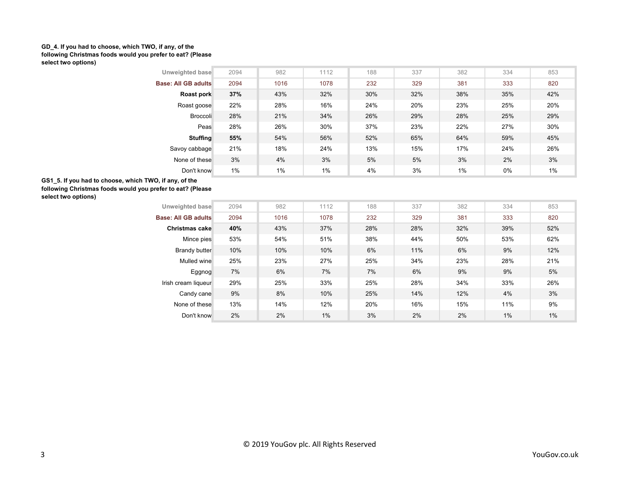## GD\_4. If you had to choose, which TWO, if any, of the following Christmas foods would you prefer to eat? (Please select two options)

| 2094                                                                                                                                        | 982             | 1112 | 188 | 337 | 382 | 334 | 853   |  |  |  |  |
|---------------------------------------------------------------------------------------------------------------------------------------------|-----------------|------|-----|-----|-----|-----|-------|--|--|--|--|
| 2094                                                                                                                                        | 1016            | 1078 | 232 | 329 | 381 | 333 | 820   |  |  |  |  |
| 37%                                                                                                                                         | 43%             | 32%  | 30% | 32% | 38% | 35% | 42%   |  |  |  |  |
| 22%                                                                                                                                         | 28%             | 16%  | 24% | 20% | 23% | 25% | 20%   |  |  |  |  |
| 28%                                                                                                                                         | 21%             | 34%  | 26% | 29% | 28% | 25% | 29%   |  |  |  |  |
| 28%                                                                                                                                         | 26%             | 30%  | 37% | 23% | 22% | 27% | 30%   |  |  |  |  |
| 55%                                                                                                                                         | 54%             | 56%  | 52% | 65% | 64% | 59% | 45%   |  |  |  |  |
| 21%                                                                                                                                         | 18%             | 24%  | 13% | 15% | 17% | 24% | 26%   |  |  |  |  |
| 3%                                                                                                                                          | 4%              | 3%   | 5%  | 5%  | 3%  | 2%  | 3%    |  |  |  |  |
| 1%                                                                                                                                          | 1%              | 1%   | 4%  | 3%  | 1%  | 0%  | 1%    |  |  |  |  |
| GS1 5. If you had to choose, which TWO, if any, of the<br>following Christmas foods would you prefer to eat? (Please<br>select two options) |                 |      |     |     |     |     |       |  |  |  |  |
| 2094                                                                                                                                        | 982             | 1112 | 188 | 337 | 382 | 334 | 853   |  |  |  |  |
| 2094                                                                                                                                        | 1016            | 1078 | 232 | 329 | 381 | 333 | 820   |  |  |  |  |
| 40%                                                                                                                                         | 43%             | 37%  | 28% | 28% | 32% | 39% | 52%   |  |  |  |  |
| 53%                                                                                                                                         | 54%             | 51%  | 38% | 44% | 50% | 53% | 62%   |  |  |  |  |
| 10%                                                                                                                                         | 10%             | 10%  | 6%  | 11% | 6%  | 9%  | 12%   |  |  |  |  |
| 25%                                                                                                                                         | 23%             | 27%  | 25% | 34% | 23% | 28% | 21%   |  |  |  |  |
| 7%                                                                                                                                          | 6%              | 7%   | 7%  | 6%  | 9%  | 9%  | 5%    |  |  |  |  |
| 29%                                                                                                                                         | 25%             | 33%  | 25% | 28% | 34% | 33% | 26%   |  |  |  |  |
| 9%                                                                                                                                          | 8%              | 10%  | 25% | 14% | 12% | 4%  | 3%    |  |  |  |  |
| 13%                                                                                                                                         | 14%             | 12%  | 20% | 16% | 15% | 11% | 9%    |  |  |  |  |
| 2%                                                                                                                                          | 2%              | 1%   | 3%  | 2%  | 2%  | 1%  | $1\%$ |  |  |  |  |
| Broccoli                                                                                                                                    | Unweighted base |      |     |     |     |     |       |  |  |  |  |